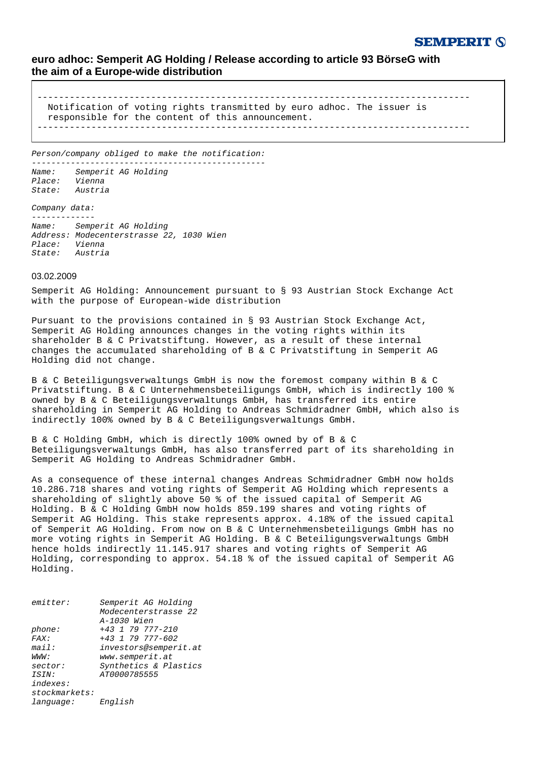## **SEMPERIT 6**

## **euro adhoc: Semperit AG Holding / Release according to article 93 BörseG with the aim of a Europe-wide distribution**

-------------------------------------------------------------------------------- Notification of voting rights transmitted by euro adhoc. The issuer is responsible for the content of this announcement. --------------------------------------------------------------------------------

Person/company obliged to make the notification: ------------------------------------------------

Name: Semperit AG Holding Place: Vienna State: Austria

Company data:

------------- Name: Semperit AG Holding Address: Modecenterstrasse 22, 1030 Wien Place: Vienna State: Austria

## 03.02.2009

Semperit AG Holding: Announcement pursuant to § 93 Austrian Stock Exchange Act with the purpose of European-wide distribution

Pursuant to the provisions contained in § 93 Austrian Stock Exchange Act, Semperit AG Holding announces changes in the voting rights within its shareholder B & C Privatstiftung. However, as a result of these internal changes the accumulated shareholding of B & C Privatstiftung in Semperit AG Holding did not change.

B & C Beteiligungsverwaltungs GmbH is now the foremost company within B & C Privatstiftung. B & C Unternehmensbeteiligungs GmbH, which is indirectly 100 % owned by B & C Beteiligungsverwaltungs GmbH, has transferred its entire shareholding in Semperit AG Holding to Andreas Schmidradner GmbH, which also is indirectly 100% owned by B & C Beteiligungsverwaltungs GmbH.

B & C Holding GmbH, which is directly 100% owned by of B & C Beteiligungsverwaltungs GmbH, has also transferred part of its shareholding in Semperit AG Holding to Andreas Schmidradner GmbH.

As a consequence of these internal changes Andreas Schmidradner GmbH now holds 10.286.718 shares and voting rights of Semperit AG Holding which represents a shareholding of slightly above 50 % of the issued capital of Semperit AG Holding. B & C Holding GmbH now holds 859.199 shares and voting rights of Semperit AG Holding. This stake represents approx. 4.18% of the issued capital of Semperit AG Holding. From now on B & C Unternehmensbeteiligungs GmbH has no more voting rights in Semperit AG Holding. B & C Beteiligungsverwaltungs GmbH hence holds indirectly 11.145.917 shares and voting rights of Semperit AG Holding, corresponding to approx. 54.18 % of the issued capital of Semperit AG Holding.

| emitter:      | Semperit AG Holding   |
|---------------|-----------------------|
|               | Modecenterstrasse 22  |
|               | A-1030 Wien           |
| phone:        | $+43$ 1 79 777-210    |
| FAST:         | $+43$ 1 79 777-602    |
| mail:         | investors@semperit.at |
| WWW:          | www.semperit.at       |
| sector:       | Synthetics & Plastics |
| ISIN:         | AT0000785555          |
| indexes:      |                       |
| stockmarkets: |                       |
| language:     | English               |